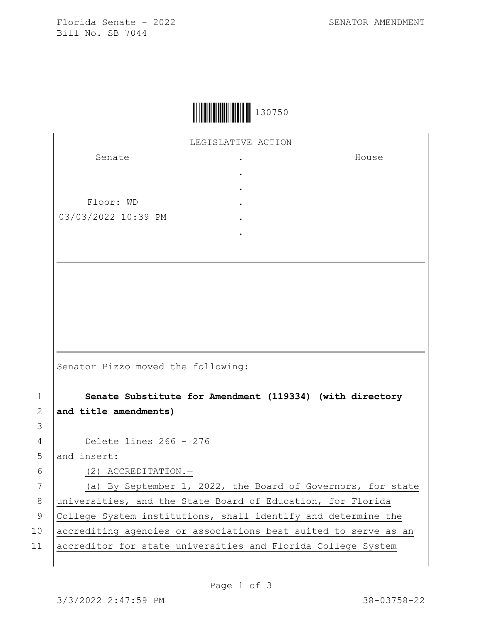Florida Senate - 2022 SENATOR AMENDMENT Bill No. SB 7044

House



LEGISLATIVE ACTION

. . . . . .

Senate Floor: WD

03/03/2022 10:39 PM

Senator Pizzo moved the following:

1 **Senate Substitute for Amendment (119334) (with directory**  2 **and title amendments)** 4 Delete lines 266 - 276 5 and insert: 6 (2) ACCREDITATION.— 7 (a) By September 1, 2022, the Board of Governors, for state 8 universities, and the State Board of Education, for Florida 9 College System institutions, shall identify and determine the 10 accrediting agencies or associations best suited to serve as an 11 accreditor for state universities and Florida College System

3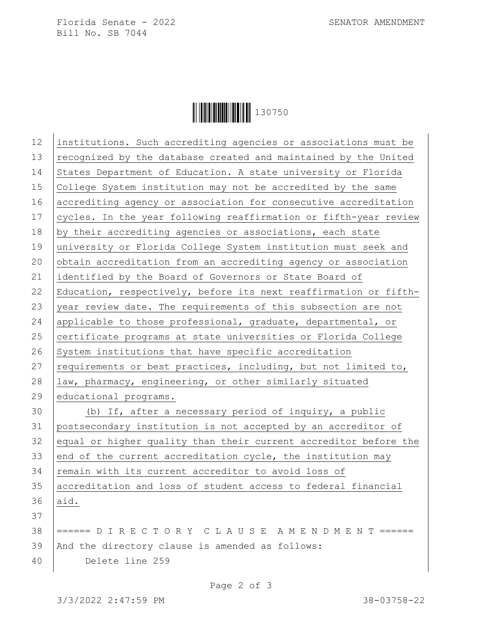Florida Senate - 2022 SENATOR AMENDMENT Bill No. SB 7044



| 12 | institutions. Such accrediting agencies or associations must be  |
|----|------------------------------------------------------------------|
| 13 | recognized by the database created and maintained by the United  |
| 14 | States Department of Education. A state university or Florida    |
| 15 | College System institution may not be accredited by the same     |
| 16 | accrediting agency or association for consecutive accreditation  |
| 17 | cycles. In the year following reaffirmation or fifth-year review |
| 18 | by their accrediting agencies or associations, each state        |
| 19 | university or Florida College System institution must seek and   |
| 20 | obtain accreditation from an accrediting agency or association   |
| 21 | identified by the Board of Governors or State Board of           |
| 22 | Education, respectively, before its next reaffirmation or fifth- |
| 23 | year review date. The requirements of this subsection are not    |
| 24 | applicable to those professional, graduate, departmental, or     |
| 25 | certificate programs at state universities or Florida College    |
| 26 | System institutions that have specific accreditation             |
| 27 | requirements or best practices, including, but not limited to,   |
| 28 | law, pharmacy, engineering, or other similarly situated          |
| 29 | educational programs.                                            |
| 30 | (b) If, after a necessary period of inquiry, a public            |
| 31 | postsecondary institution is not accepted by an accreditor of    |
| 32 | equal or higher quality than their current accreditor before the |
| 33 | end of the current accreditation cycle, the institution may      |
| 34 | remain with its current accreditor to avoid loss of              |
| 35 | accreditation and loss of student access to federal financial    |
| 36 | aid.                                                             |
| 37 |                                                                  |
| 38 | ====== D I R E C T O R Y C L A U S E A M E N D M E N T ======    |
| 39 | And the directory clause is amended as follows:                  |
| 40 | Delete line 259                                                  |
|    |                                                                  |